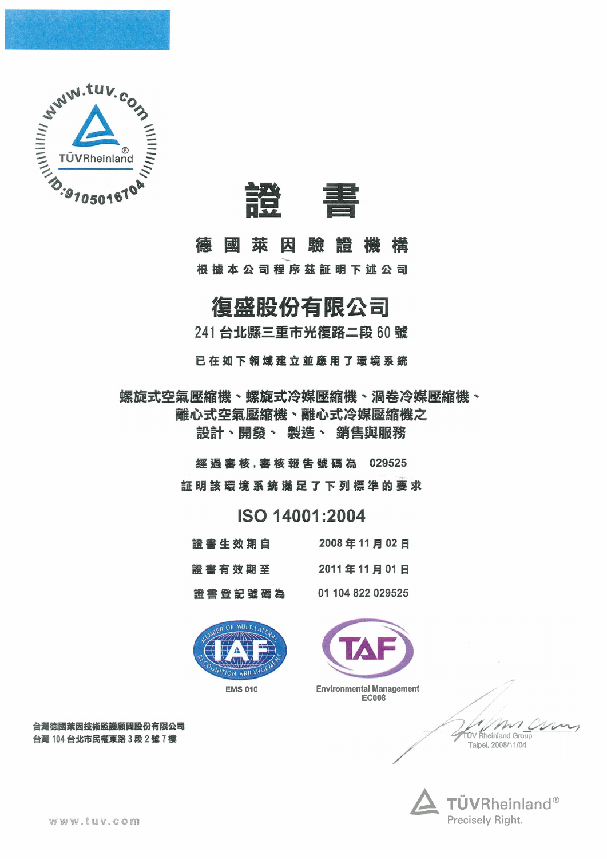



#### 德 萊因 驗證機構 回过

根據本公司程序茲証明下述公司

### 復盛股份有限公司

241 台北縣三重市光復路二段 60號

已在如下領域建立並應用了環境系統

螺旋式空氣壓縮機、螺旋式冷媒壓縮機、渦卷冷媒壓縮機、 離心式空氣壓縮機、離心式冷媒壓縮機之 設計、開發、 製造、 銷售與服務

> 經過審核,審核報告號碼為 029525 証明該環境系統滿足了下列標準的要求

#### ISO 14001:2004

|  |  | 證書生效期自 |         |  |  | 2008年11月02日       |  |  |
|--|--|--------|---------|--|--|-------------------|--|--|
|  |  | 證書有效期至 |         |  |  | 2011年11月01日       |  |  |
|  |  |        | 證書登記號碼為 |  |  | 01 104 822 029525 |  |  |





**Environmental Management EC008** 

#### 台灣德國萊因技術監護顧問股份有限公司 台灣 104 台北市民權東路3段2號7樓

**UV** Rheinland Group Taipei, 2008/11/04



www.tuv.com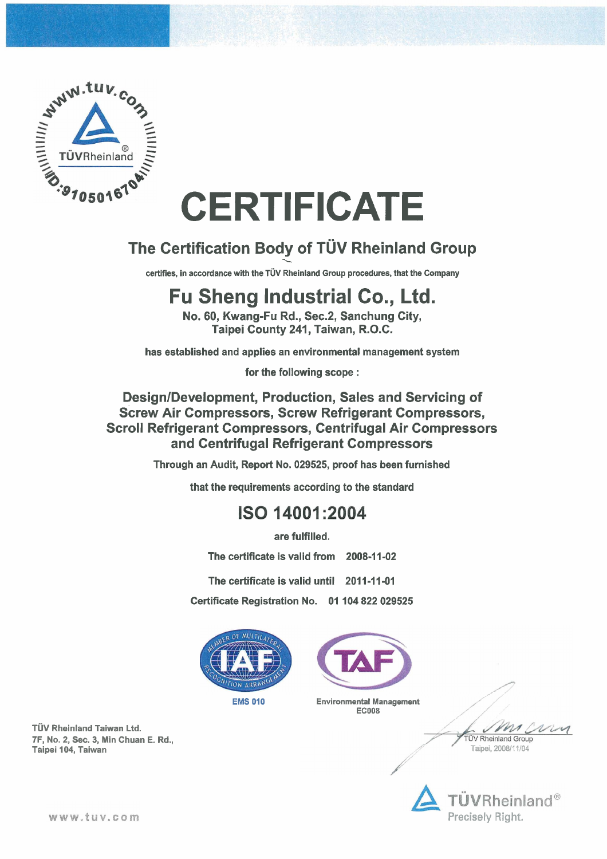

# **CERTIFICATE.**

## **The Certification Body of TÜV Rheinland Group**

certifies, in accordance with the TÜV Rheinland Group procedures, that the Company

## **Fu Sheng Industrial Co., Ltd.**

**No. 60, Kwang-Fu Rd., Sec.2, Sanchung City, Taipei County 241, Taiwan, R.O.C.** 

**Design/Development, Production, Sales and Servicing of Screw Air Compressors, Screw Refrigerant Compressors, Scroll Refrigerant Compressors, Centrifugal Air Compressors and Centrifugal Refrigerant Compressors** 

**has established and applies an environmental management system** 

**for the following scope** :

**TÜV Rheinland Group Taipei, 200811 1/04** 

**Through an Audit, Report No. 029525, proof has been furnished** 

**that the requirements according to the standard** 

#### ISO 14001:2004

**are fulfilled.** 

**The certificate is valid from 2008-11-02** 

The certificate is valid until 2011-11-01

**Certificate Registration No. 01 104 822 029525** 







**TUV Rheinland Taiwan Ltd. 7F, No. 2, Sec. 3, Min Chuan E. Rd., Taipei 104, Taiwan** 

#### www.tuv.com

**EMS 010 Environmental Management EC008**